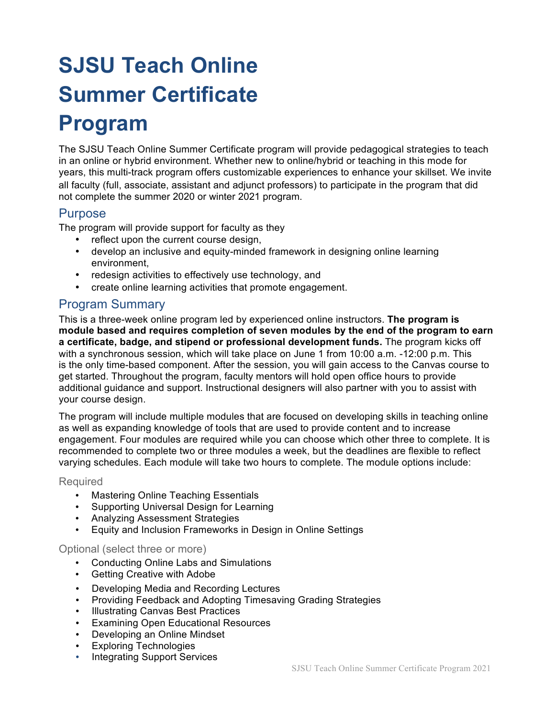# **SJSU Teach Online Summer Certificate**

# **Program**

The SJSU Teach Online Summer Certificate program will provide pedagogical strategies to teach in an online or hybrid environment. Whether new to online/hybrid or teaching in this mode for years, this multi-track program offers customizable experiences to enhance your skillset. We invite all faculty (full, associate, assistant and adjunct professors) to participate in the program that did not complete the summer 2020 or winter 2021 program.

#### Purpose

The program will provide support for faculty as they

- reflect upon the current course design,
- develop an inclusive and equity-minded framework in designing online learning environment,
- redesign activities to effectively use technology, and
- create online learning activities that promote engagement.

### Program Summary

This is a three-week online program led by experienced online instructors. **The program is module based and requires completion of seven modules by the end of the program to earn a certificate, badge, and stipend or professional development funds.** The program kicks off with a synchronous session, which will take place on June 1 from 10:00 a.m. -12:00 p.m. This is the only time-based component. After the session, you will gain access to the Canvas course to get started. Throughout the program, faculty mentors will hold open office hours to provide additional guidance and support. Instructional designers will also partner with you to assist with your course design.

The program will include multiple modules that are focused on developing skills in teaching online as well as expanding knowledge of tools that are used to provide content and to increase engagement. Four modules are required while you can choose which other three to complete. It is recommended to complete two or three modules a week, but the deadlines are flexible to reflect varying schedules. Each module will take two hours to complete. The module options include:

#### Required

- Mastering Online Teaching Essentials<br>• Supporting Universal Design for Learn
- Supporting Universal Design for Learning
- Analyzing Assessment Strategies
- Equity and Inclusion Frameworks in Design in Online Settings

#### Optional (select three or more)

- Conducting Online Labs and Simulations
- Getting Creative with Adobe
- Developing Media and Recording Lectures
- Providing Feedback and Adopting Timesaving Grading Strategies
- Illustrating Canvas Best Practices
- Examining Open Educational Resources
- Developing an Online Mindset
- **Exploring Technologies**
- Integrating Support Services